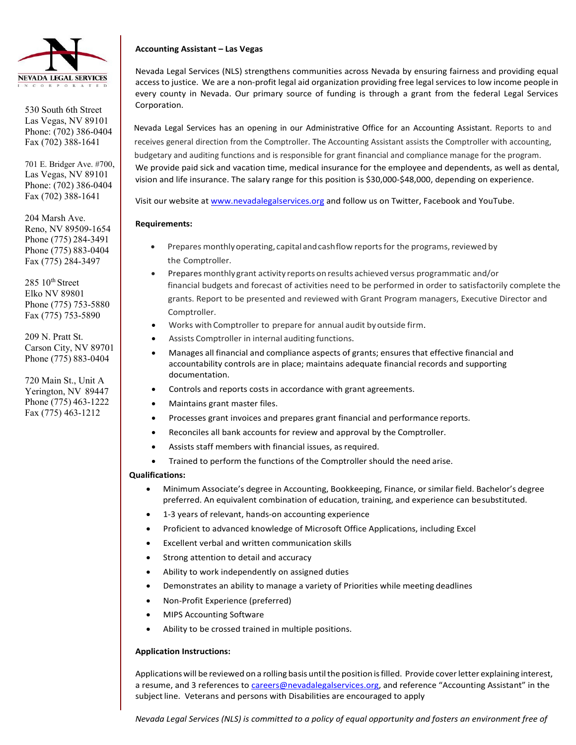

530 South 6th Street Las Vegas, NV 89101 Phone: (702) 386-0404 Fax (702) 388-1641

701 E. Bridger Ave. #700, Las Vegas, NV 89101 Phone: (702) 386-0404 Fax (702) 388-1641

204 Marsh Ave. Reno, NV 89509-1654 Phone (775) 284-3491 Phone (775) 883-0404 Fax (775) 284-3497

 $285 \ 10$ <sup>th</sup> Street Elko NV 89801 Phone (775) 753-5880 Fax (775) 753-5890

209 N. Pratt St. Carson City, NV 89701 Phone (775) 883-0404

720 Main St., Unit A Yerington, NV 89447 Phone (775) 463-1222 Fax (775) 463-1212

## **Accounting Assistant – Las Vegas**

Nevada Legal Services (NLS) strengthens communities across Nevada by ensuring fairness and providing equal access to justice. We are a non-profit legal aid organization providing free legal services to low income people in every county in Nevada. Our primary source of funding is through a grant from the federal Legal Services Corporation.

Nevada Legal Services has an opening in our Administrative Office for an Accounting Assistant. Reports to and receives general direction from the Comptroller. The Accounting Assistant assists the Comptroller with accounting, budgetary and auditing functions and is responsible for grant financial and compliance manage for the program. We provide paid sick and vacation time, medical insurance for the employee and dependents, as well as dental, vision and life insurance. The salary range for this position is \$30,000-\$48,000, depending on experience.

Visit our website at [www.nevadalegalservices.org](http://www.nevadalegalservices.org/) and follow us on Twitter, Facebook and YouTube.

## **Requirements:**

- Prepares monthly operating, capital and cash flow reports for the programs, reviewed by the Comptroller.
- Prepares monthlygrant activity reports on results achieved versus programmatic and/or financial budgets and forecast of activities need to be performed in order to satisfactorily complete the grants. Report to be presented and reviewed with Grant Program managers, Executive Director and Comptroller.
- Works with Comptroller to prepare for annual audit byoutside firm.
- Assists Comptroller in internal auditing functions.
- Manages all financial and compliance aspects of grants; ensures that effective financial and accountability controls are in place; maintains adequate financial records and supporting documentation.
- Controls and reports costs in accordance with grant agreements.
- Maintains grant master files.
- Processes grant invoices and prepares grant financial and performance reports.
- Reconciles all bank accounts for review and approval by the Comptroller.
- Assists staff members with financial issues, as required.
- Trained to perform the functions of the Comptroller should the need arise.

## **Qualifications:**

- Minimum Associate's degree in Accounting, Bookkeeping, Finance, or similar field. Bachelor's degree preferred. An equivalent combination of education, training, and experience can besubstituted.
- 1-3 years of relevant, hands-on accounting experience
- Proficient to advanced knowledge of Microsoft Office Applications, including Excel
- Excellent verbal and written communication skills
- Strong attention to detail and accuracy
- Ability to work independently on assigned duties
- Demonstrates an ability to manage a variety of Priorities while meeting deadlines
- Non-Profit Experience (preferred)
- MIPS Accounting Software
- Ability to be crossed trained in multiple positions.

## **Application Instructions:**

Applications will be reviewed on a rolling basis until the position is filled. Provide cover letter explaining interest, a resume, and 3 references to [careers@nevadalegalservices.org, a](mailto:careers@nevadalegalservices.org)nd reference "Accounting Assistant" in the subject line. Veterans and persons with Disabilities are encouraged to apply

*Nevada Legal Services (NLS) is committed to a policy of equal opportunity and fosters an environment free of*